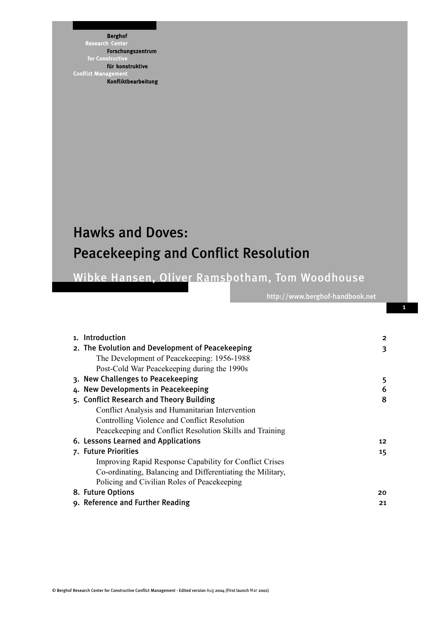**Berghof Research Cento** Forschungszentrum for Constructive für konstruktive **Conflict Manas** Konfliktbearbeitung

# Hawks and Doves: Peacekeeping and Conflict Resolution

Wibke Hansen, Oliver Ramsbotham, Tom Woodhouse

http://www.berghof-handbook.net

| 1. Introduction                                            | $\mathbf{2}$ |
|------------------------------------------------------------|--------------|
| 2. The Evolution and Development of Peacekeeping           | 3            |
| The Development of Peacekeeping: 1956-1988                 |              |
| Post-Cold War Peacekeeping during the 1990s                |              |
| 3. New Challenges to Peacekeeping                          | 5            |
| 4. New Developments in Peacekeeping                        | 6            |
| 5. Conflict Research and Theory Building                   | 8            |
| Conflict Analysis and Humanitarian Intervention            |              |
| Controlling Violence and Conflict Resolution               |              |
| Peacekeeping and Conflict Resolution Skills and Training   |              |
| 6. Lessons Learned and Applications                        | 12           |
| 7. Future Priorities                                       | 15           |
| Improving Rapid Response Capability for Conflict Crises    |              |
| Co-ordinating, Balancing and Differentiating the Military, |              |
| Policing and Civilian Roles of Peacekeeping                |              |
| 8. Future Options                                          | 20           |
| 9. Reference and Further Reading                           | 21           |
|                                                            |              |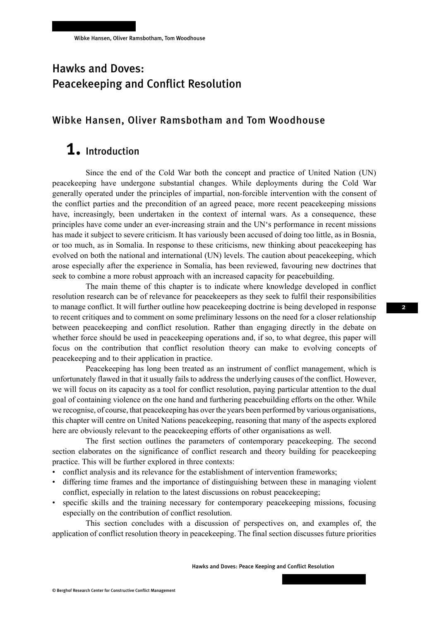### Hawks and Doves: Peacekeeping and Conflict Resolution

#### Wibke Hansen, Oliver Ramsbotham and Tom Woodhouse

### 1. Introduction

Since the end of the Cold War both the concept and practice of United Nation (UN) peacekeeping have undergone substantial changes. While deployments during the Cold War generally operated under the principles of impartial, non-forcible intervention with the consent of the conflict parties and the precondition of an agreed peace, more recent peacekeeping missions have, increasingly, been undertaken in the context of internal wars. As a consequence, these principles have come under an ever-increasing strain and the UN's performance in recent missions has made it subject to severe criticism. It has variously been accused of doing too little, as in Bosnia, or too much, as in Somalia. In response to these criticisms, new thinking about peacekeeping has evolved on both the national and international (UN) levels. The caution about peacekeeping, which arose especially after the experience in Somalia, has been reviewed, favouring new doctrines that seek to combine a more robust approach with an increased capacity for peacebuilding.

The main theme of this chapter is to indicate where knowledge developed in conflict resolution research can be of relevance for peacekeepers as they seek to fulfil their responsibilities to manage conflict. It will further outline how peacekeeping doctrine is being developed in response to recent critiques and to comment on some preliminary lessons on the need for a closer relationship between peacekeeping and conflict resolution. Rather than engaging directly in the debate on whether force should be used in peacekeeping operations and, if so, to what degree, this paper will focus on the contribution that conflict resolution theory can make to evolving concepts of peacekeeping and to their application in practice.

Peacekeeping has long been treated as an instrument of conflict management, which is unfortunately flawed in that it usually fails to address the underlying causes of the conflict. However, we will focus on its capacity as a tool for conflict resolution, paying particular attention to the dual goal of containing violence on the one hand and furthering peacebuilding efforts on the other. While we recognise, of course, that peacekeeping has over the years been performed by various organisations, this chapter will centre on United Nations peacekeeping, reasoning that many of the aspects explored here are obviously relevant to the peacekeeping efforts of other organisations as well.

The first section outlines the parameters of contemporary peacekeeping. The second section elaborates on the significance of conflict research and theory building for peacekeeping practice. This will be further explored in three contexts:

- conflict analysis and its relevance for the establishment of intervention frameworks;
- differing time frames and the importance of distinguishing between these in managing violent conflict, especially in relation to the latest discussions on robust peacekeeping;
- specific skills and the training necessary for contemporary peacekeeping missions, focusing especially on the contribution of conflict resolution.

This section concludes with a discussion of perspectives on, and examples of, the application of conflict resolution theory in peacekeeping. The final section discusses future priorities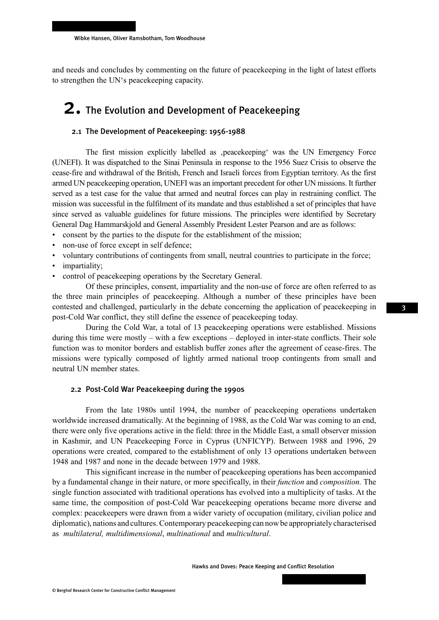and needs and concludes by commenting on the future of peacekeeping in the light of latest efforts to strengthen the UN's peacekeeping capacity.

### 2. The Evolution and Development of Peacekeeping

#### 2.1 The Development of Peacekeeping: 1956-1988

The first mission explicitly labelled as 'peacekeeping' was the UN Emergency Force (UNEFI). It was dispatched to the Sinai Peninsula in response to the 1956 Suez Crisis to observe the cease-fire and withdrawal of the British, French and Israeli forces from Egyptian territory. As the first armed UN peacekeeping operation, UNEFI was an important precedent for other UN missions. It further served as a test case for the value that armed and neutral forces can play in restraining conflict. The mission was successful in the fulfilment of its mandate and thus established a set of principles that have since served as valuable guidelines for future missions. The principles were identified by Secretary General Dag Hammarskjold and General Assembly President Lester Pearson and are as follows:

- consent by the parties to the dispute for the establishment of the mission;
- non-use of force except in self defence;
- voluntary contributions of contingents from small, neutral countries to participate in the force;
- impartiality;
- control of peacekeeping operations by the Secretary General.

Of these principles, consent, impartiality and the non-use of force are often referred to as the three main principles of peacekeeping. Although a number of these principles have been contested and challenged, particularly in the debate concerning the application of peacekeeping in post-Cold War conflict, they still define the essence of peacekeeping today.

During the Cold War, a total of 13 peacekeeping operations were established. Missions during this time were mostly – with a few exceptions – deployed in inter-state conflicts. Their sole function was to monitor borders and establish buffer zones after the agreement of cease-fires. The missions were typically composed of lightly armed national troop contingents from small and neutral UN member states.

#### 2.2 Post-Cold War Peacekeeping during the 1990s

From the late 1980s until 1994, the number of peacekeeping operations undertaken worldwide increased dramatically. At the beginning of 1988, as the Cold War was coming to an end, there were only five operations active in the field: three in the Middle East, a small observer mission in Kashmir, and UN Peacekeeping Force in Cyprus (UNFICYP). Between 1988 and 1996, 29 operations were created, compared to the establishment of only 13 operations undertaken between 1948 and 1987 and none in the decade between 1979 and 1988.

This significant increase in the number of peacekeeping operations has been accompanied by a fundamental change in their nature, or more specifically, in their *function* and *composition.* The single function associated with traditional operations has evolved into a multiplicity of tasks. At the same time, the composition of post-Cold War peacekeeping operations became more diverse and complex: peacekeepers were drawn from a wider variety of occupation (military, civilian police and diplomatic), nations and cultures. Contemporary peacekeeping can now be appropriately characterised as *multilateral, multidimensional*, *multinational* and *multicultural*.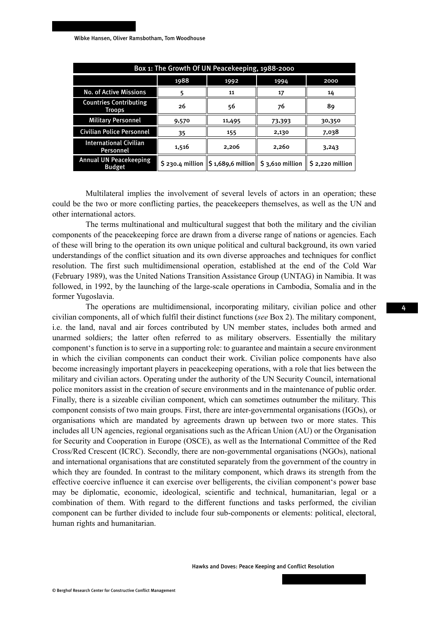Wibke Hansen, Oliver Ramsbotham, Tom Woodhouse

| Box 1: The Growth Of UN Peacekeeping, 1988-2000   |       |                                                             |        |                  |
|---------------------------------------------------|-------|-------------------------------------------------------------|--------|------------------|
|                                                   | 1988  | 1992                                                        | 1994   | 2000             |
| <b>No. of Active Missions</b>                     |       | 11                                                          | 17     | 14               |
| <b>Countries Contributing</b><br>Troops           | 26    | 56                                                          | 76     | 89               |
| <b>Military Personnel</b>                         | 9,570 | 11,495                                                      | 73,393 | 30,350           |
| <b>Civilian Police Personnel</b>                  | 35    | 155                                                         | 2,130  | 7,038            |
| <b>International Civilian</b><br><b>Personnel</b> | 1,516 | 2,206                                                       | 2.260  | 3,243            |
| <b>Annual UN Peacekeeping</b><br><b>Budget</b>    |       | \$230.4 million $\ \$$ 1,689,6 million $\ \$$ 3,610 million |        | $$2,220$ million |

Multilateral implies the involvement of several levels of actors in an operation; these could be the two or more conflicting parties, the peacekeepers themselves, as well as the UN and other international actors.

The terms multinational and multicultural suggest that both the military and the civilian components of the peacekeeping force are drawn from a diverse range of nations or agencies. Each of these will bring to the operation its own unique political and cultural background, its own varied understandings of the conflict situation and its own diverse approaches and techniques for conflict resolution. The first such multidimensional operation, established at the end of the Cold War (February 1989), was the United Nations Transition Assistance Group (UNTAG) in Namibia. It was followed, in 1992, by the launching of the large-scale operations in Cambodia, Somalia and in the former Yugoslavia.

The operations are multidimensional, incorporating military, civilian police and other civilian components, all of which fulfil their distinct functions (*see* Box 2). The military component, i.e. the land, naval and air forces contributed by UN member states, includes both armed and unarmed soldiers; the latter often referred to as military observers. Essentially the military component's function is to serve in a supporting role: to guarantee and maintain a secure environment in which the civilian components can conduct their work. Civilian police components have also become increasingly important players in peacekeeping operations, with a role that lies between the military and civilian actors. Operating under the authority of the UN Security Council, international police monitors assist in the creation of secure environments and in the maintenance of public order. Finally, there is a sizeable civilian component, which can sometimes outnumber the military. This component consists of two main groups. First, there are inter-governmental organisations (IGOs), or organisations which are mandated by agreements drawn up between two or more states. This includes all UN agencies, regional organisations such as the African Union (AU) or the Organisation for Security and Cooperation in Europe (OSCE), as well as the International Committee of the Red Cross/Red Crescent (ICRC). Secondly, there are non-governmental organisations (NGOs), national and international organisations that are constituted separately from the government of the country in which they are founded. In contrast to the military component, which draws its strength from the effective coercive influence it can exercise over belligerents, the civilian component's power base may be diplomatic, economic, ideological, scientific and technical, humanitarian, legal or a combination of them. With regard to the different functions and tasks performed, the civilian component can be further divided to include four sub-components or elements: political, electoral, human rights and humanitarian.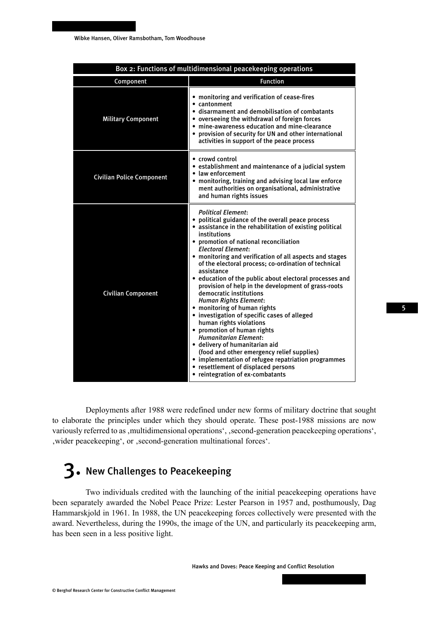| Box 2: Functions of multidimensional peacekeeping operations |                                                                                                                                                                                                                                                                                                                                                                                                                                                                                                                                                                                                                                                                                                                                                                                                                                                                                                                                             |  |
|--------------------------------------------------------------|---------------------------------------------------------------------------------------------------------------------------------------------------------------------------------------------------------------------------------------------------------------------------------------------------------------------------------------------------------------------------------------------------------------------------------------------------------------------------------------------------------------------------------------------------------------------------------------------------------------------------------------------------------------------------------------------------------------------------------------------------------------------------------------------------------------------------------------------------------------------------------------------------------------------------------------------|--|
| Component                                                    | <b>Function</b>                                                                                                                                                                                                                                                                                                                                                                                                                                                                                                                                                                                                                                                                                                                                                                                                                                                                                                                             |  |
| <b>Military Component</b>                                    | • monitoring and verification of cease-fires<br>• cantonment<br>• disarmament and demobilisation of combatants<br>• overseeing the withdrawal of foreign forces<br>• mine-awareness education and mine-clearance<br>provision of security for UN and other international<br>activities in support of the peace process                                                                                                                                                                                                                                                                                                                                                                                                                                                                                                                                                                                                                      |  |
| <b>Civilian Police Component</b>                             | • crowd control<br>• establishment and maintenance of a judicial system<br>• law enforcement<br>• monitoring, training and advising local law enforce<br>ment authorities on organisational, administrative<br>and human rights issues                                                                                                                                                                                                                                                                                                                                                                                                                                                                                                                                                                                                                                                                                                      |  |
| <b>Civilian Component</b>                                    | <b>Political Element:</b><br>• political guidance of the overall peace process<br>• assistance in the rehabilitation of existing political<br>institutions<br>• promotion of national reconciliation<br><b>Electoral Element:</b><br>• monitoring and verification of all aspects and stages<br>of the electoral process; co-ordination of technical<br>assistance<br>• education of the public about electoral processes and<br>provision of help in the development of grass-roots<br>democratic institutions<br><b>Human Rights Element:</b><br>• monitoring of human rights<br>• investigation of specific cases of alleged<br>human rights violations<br>• promotion of human rights<br><b>Humanitarian Element:</b><br>• delivery of humanitarian aid<br>(food and other emergency relief supplies)<br>• implementation of refugee repatriation programmes<br>• resettlement of displaced persons<br>• reintegration of ex-combatants |  |

Deployments after 1988 were redefined under new forms of military doctrine that sought to elaborate the principles under which they should operate. These post-1988 missions are now variously referred to as , multidimensional operations', second-generation peacekeeping operations', , wider peacekeeping', or , second-generation multinational forces'.

## 3. New Challenges to Peacekeeping

Two individuals credited with the launching of the initial peacekeeping operations have been separately awarded the Nobel Peace Prize: Lester Pearson in 1957 and, posthumously, Dag Hammarskjold in 1961. In 1988, the UN peacekeeping forces collectively were presented with the award. Nevertheless, during the 1990s, the image of the UN, and particularly its peacekeeping arm, has been seen in a less positive light.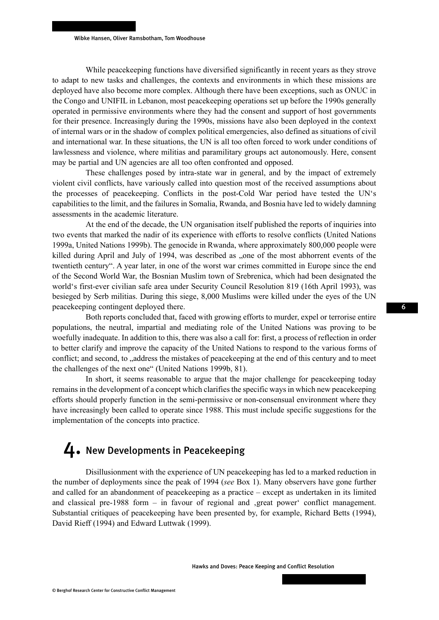While peacekeeping functions have diversified significantly in recent years as they strove to adapt to new tasks and challenges, the contexts and environments in which these missions are deployed have also become more complex. Although there have been exceptions, such as ONUC in the Congo and UNIFIL in Lebanon, most peacekeeping operations set up before the 1990s generally operated in permissive environments where they had the consent and support of host governments for their presence. Increasingly during the 1990s, missions have also been deployed in the context of internal wars or in the shadow of complex political emergencies, also defined as situations of civil and international war. In these situations, the UN is all too often forced to work under conditions of lawlessness and violence, where militias and paramilitary groups act autonomously. Here, consent may be partial and UN agencies are all too often confronted and opposed.

These challenges posed by intra-state war in general, and by the impact of extremely violent civil conflicts, have variously called into question most of the received assumptions about the processes of peacekeeping. Conflicts in the post-Cold War period have tested the UN's capabilities to the limit, and the failures in Somalia, Rwanda, and Bosnia have led to widely damning assessments in the academic literature.

At the end of the decade, the UN organisation itself published the reports of inquiries into two events that marked the nadir of its experience with efforts to resolve conflicts (United Nations 1999a, United Nations 1999b). The genocide in Rwanda, where approximately 800,000 people were killed during April and July of 1994, was described as "one of the most abhorrent events of the twentieth century". A year later, in one of the worst war crimes committed in Europe since the end of the Second World War, the Bosnian Muslim town of Srebrenica, which had been designated the world's first-ever civilian safe area under Security Council Resolution 819 (16th April 1993), was besieged by Serb militias. During this siege, 8,000 Muslims were killed under the eyes of the UN peacekeeping contingent deployed there.

Both reports concluded that, faced with growing efforts to murder, expel or terrorise entire populations, the neutral, impartial and mediating role of the United Nations was proving to be woefully inadequate. In addition to this, there was also a call for: first, a process of reflection in order to better clarify and improve the capacity of the United Nations to respond to the various forms of conflict; and second, to , address the mistakes of peacekeeping at the end of this century and to meet the challenges of the next one" (United Nations 1999b, 81).

In short, it seems reasonable to argue that the major challenge for peacekeeping today remains in the development of a concept which clarifies the specific ways in which new peacekeeping efforts should properly function in the semi-permissive or non-consensual environment where they have increasingly been called to operate since 1988. This must include specific suggestions for the implementation of the concepts into practice.

### 4. New Developments in Peacekeeping

Disillusionment with the experience of UN peacekeeping has led to a marked reduction in the number of deployments since the peak of 1994 (*see* Box 1). Many observers have gone further and called for an abandonment of peacekeeping as a practice – except as undertaken in its limited and classical pre-1988 form – in favour of regional and 'great power' conflict management. Substantial critiques of peacekeeping have been presented by, for example, Richard Betts (1994), David Rieff (1994) and Edward Luttwak (1999).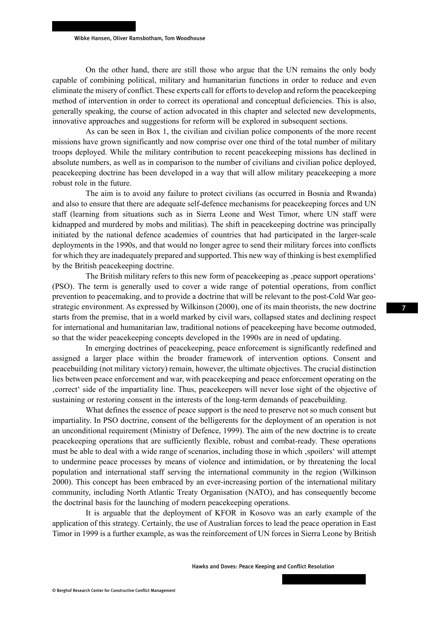On the other hand, there are still those who argue that the UN remains the only body capable of combining political, military and humanitarian functions in order to reduce and even eliminate the misery of conflict. These experts call for efforts to develop and reform the peacekeeping method of intervention in order to correct its operational and conceptual deficiencies. This is also, generally speaking, the course of action advocated in this chapter and selected new developments, innovative approaches and suggestions for reform will be explored in subsequent sections.

As can be seen in Box 1, the civilian and civilian police components of the more recent missions have grown significantly and now comprise over one third of the total number of military troops deployed. While the military contribution to recent peacekeeping missions has declined in absolute numbers, as well as in comparison to the number of civilians and civilian police deployed, peacekeeping doctrine has been developed in a way that will allow military peacekeeping a more robust role in the future.

The aim is to avoid any failure to protect civilians (as occurred in Bosnia and Rwanda) and also to ensure that there are adequate self-defence mechanisms for peacekeeping forces and UN staff (learning from situations such as in Sierra Leone and West Timor, where UN staff were kidnapped and murdered by mobs and militias). The shift in peacekeeping doctrine was principally initiated by the national defence academies of countries that had participated in the larger-scale deployments in the 1990s, and that would no longer agree to send their military forces into conflicts for which they are inadequately prepared and supported. This new way of thinking is best exemplified by the British peacekeeping doctrine.

The British military refers to this new form of peace keeping as , peace support operations' (PSO). The term is generally used to cover a wide range of potential operations, from conflict prevention to peacemaking, and to provide a doctrine that will be relevant to the post-Cold War geostrategic environment. As expressed by Wilkinson (2000), one of its main theorists, the new doctrine starts from the premise, that in a world marked by civil wars, collapsed states and declining respect for international and humanitarian law, traditional notions of peacekeeping have become outmoded, so that the wider peacekeeping concepts developed in the 1990s are in need of updating.

In emerging doctrines of peacekeeping, peace enforcement is significantly redefined and assigned a larger place within the broader framework of intervention options. Consent and peacebuilding (not military victory) remain, however, the ultimate objectives. The crucial distinction lies between peace enforcement and war, with peacekeeping and peace enforcement operating on the 'correct' side of the impartiality line. Thus, peacekeepers will never lose sight of the objective of sustaining or restoring consent in the interests of the long-term demands of peacebuilding.

What defines the essence of peace support is the need to preserve not so much consent but impartiality. In PSO doctrine, consent of the belligerents for the deployment of an operation is not an unconditional requirement (Ministry of Defence, 1999). The aim of the new doctrine is to create peacekeeping operations that are sufficiently flexible, robust and combat-ready. These operations must be able to deal with a wide range of scenarios, including those in which , spoilers' will attempt to undermine peace processes by means of violence and intimidation, or by threatening the local population and international staff serving the international community in the region (Wilkinson 2000). This concept has been embraced by an ever-increasing portion of the international military community, including North Atlantic Treaty Organisation (NATO), and has consequently become the doctrinal basis for the launching of modern peacekeeping operations.

It is arguable that the deployment of KFOR in Kosovo was an early example of the application of this strategy. Certainly, the use of Australian forces to lead the peace operation in East Timor in 1999 is a further example, as was the reinforcement of UN forces in Sierra Leone by British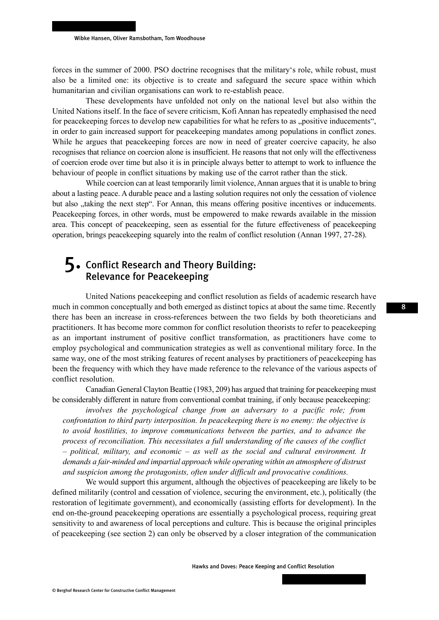forces in the summer of 2000. PSO doctrine recognises that the military's role, while robust, must also be a limited one: its objective is to create and safeguard the secure space within which humanitarian and civilian organisations can work to re-establish peace.

These developments have unfolded not only on the national level but also within the United Nations itself. In the face of severe criticism, Kofi Annan has repeatedly emphasised the need for peace keeping forces to develop new capabilities for what he refers to as "positive inducements", in order to gain increased support for peacekeeping mandates among populations in conflict zones. While he argues that peacekeeping forces are now in need of greater coercive capacity, he also recognises that reliance on coercion alone is insufficient. He reasons that not only will the effectiveness of coercion erode over time but also it is in principle always better to attempt to work to influence the behaviour of people in conflict situations by making use of the carrot rather than the stick.

While coercion can at least temporarily limit violence, Annan argues that it is unable to bring about a lasting peace. A durable peace and a lasting solution requires not only the cessation of violence but also "taking the next step". For Annan, this means offering positive incentives or inducements. Peacekeeping forces, in other words, must be empowered to make rewards available in the mission area. This concept of peacekeeping, seen as essential for the future effectiveness of peacekeeping operation, brings peacekeeping squarely into the realm of conflict resolution (Annan 1997, 27-28).

## $5.$  Conflict Research and Theory Building: **Relevance for Peacekeeping**

United Nations peacekeeping and conflict resolution as fields of academic research have much in common conceptually and both emerged as distinct topics at about the same time. Recently there has been an increase in cross-references between the two fields by both theoreticians and practitioners. It has become more common for conflict resolution theorists to refer to peacekeeping as an important instrument of positive conflict transformation, as practitioners have come to employ psychological and communication strategies as well as conventional military force. In the same way, one of the most striking features of recent analyses by practitioners of peacekeeping has been the frequency with which they have made reference to the relevance of the various aspects of conflict resolution.

Canadian General Clayton Beattie (1983, 209) has argued that training for peacekeeping must be considerably different in nature from conventional combat training, if only because peacekeeping:

*involves the psychological change from an adversary to a pacific role; from confrontation to third party interposition. In peacekeeping there is no enemy: the objective is to avoid hostilities, to improve communications between the parties, and to advance the process of reconciliation. This necessitates a full understanding of the causes of the conflict – political, military, and economic – as well as the social and cultural environment. It demands a fair-minded and impartial approach while operating within an atmosphere of distrust and suspicion among the protagonists, often under difficult and provocative conditions.*

We would support this argument, although the objectives of peacekeeping are likely to be defined militarily (control and cessation of violence, securing the environment, etc.), politically (the restoration of legitimate government), and economically (assisting efforts for development). In the end on-the-ground peacekeeping operations are essentially a psychological process, requiring great sensitivity to and awareness of local perceptions and culture. This is because the original principles of peacekeeping (see section 2) can only be observed by a closer integration of the communication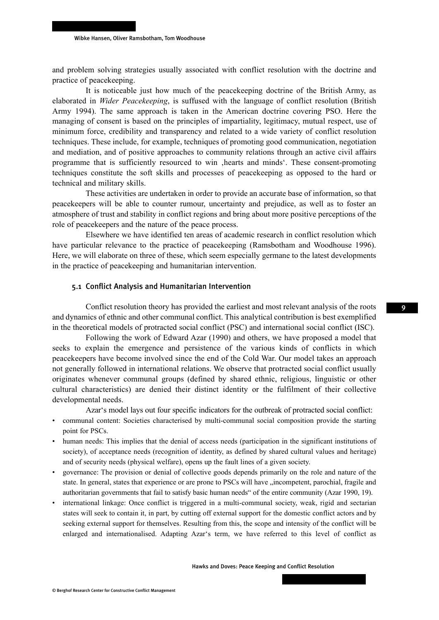and problem solving strategies usually associated with conflict resolution with the doctrine and practice of peacekeeping.

It is noticeable just how much of the peacekeeping doctrine of the British Army, as elaborated in *Wider Peacekeeping*, is suffused with the language of conflict resolution (British Army 1994). The same approach is taken in the American doctrine covering PSO. Here the managing of consent is based on the principles of impartiality, legitimacy, mutual respect, use of minimum force, credibility and transparency and related to a wide variety of conflict resolution techniques. These include, for example, techniques of promoting good communication, negotiation and mediation, and of positive approaches to community relations through an active civil affairs programme that is sufficiently resourced to win 'hearts and minds'. These consent-promoting techniques constitute the soft skills and processes of peacekeeping as opposed to the hard or technical and military skills.

These activities are undertaken in order to provide an accurate base of information, so that peacekeepers will be able to counter rumour, uncertainty and prejudice, as well as to foster an atmosphere of trust and stability in conflict regions and bring about more positive perceptions of the role of peacekeepers and the nature of the peace process.

Elsewhere we have identified ten areas of academic research in conflict resolution which have particular relevance to the practice of peacekeeping (Ramsbotham and Woodhouse 1996). Here, we will elaborate on three of these, which seem especially germane to the latest developments in the practice of peacekeeping and humanitarian intervention.

#### 5.1 Conflict Analysis and Humanitarian Intervention

Conflict resolution theory has provided the earliest and most relevant analysis of the roots and dynamics of ethnic and other communal conflict. This analytical contribution is best exemplified in the theoretical models of protracted social conflict (PSC) and international social conflict (ISC).

Following the work of Edward Azar (1990) and others, we have proposed a model that seeks to explain the emergence and persistence of the various kinds of conflicts in which peacekeepers have become involved since the end of the Cold War. Our model takes an approach not generally followed in international relations. We observe that protracted social conflict usually originates whenever communal groups (defined by shared ethnic, religious, linguistic or other cultural characteristics) are denied their distinct identity or the fulfilment of their collective developmental needs.

Azar's model lays out four specific indicators for the outbreak of protracted social conflict:

- communal content: Societies characterised by multi-communal social composition provide the starting point for PSCs.
- human needs: This implies that the denial of access needs (participation in the significant institutions of society), of acceptance needs (recognition of identity, as defined by shared cultural values and heritage) and of security needs (physical welfare), opens up the fault lines of a given society.
- governance: The provision or denial of collective goods depends primarily on the role and nature of the state. In general, states that experience or are prone to PSCs will have "incompetent, parochial, fragile and authoritarian governments that fail to satisfy basic human needs" of the entire community (Azar 1990, 19).
- international linkage: Once conflict is triggered in a multi-communal society, weak, rigid and sectarian states will seek to contain it, in part, by cutting off external support for the domestic conflict actors and by seeking external support for themselves. Resulting from this, the scope and intensity of the conflict will be enlarged and internationalised. Adapting Azar's term, we have referred to this level of conflict as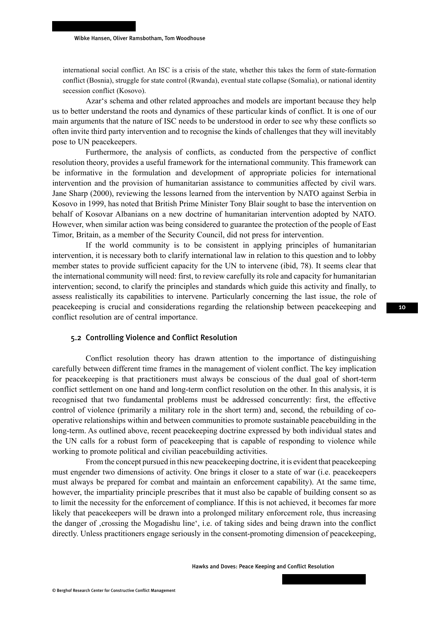international social conflict. An ISC is a crisis of the state, whether this takes the form of state-formation conflict (Bosnia), struggle for state control (Rwanda), eventual state collapse (Somalia), or national identity secession conflict (Kosovo).

Azar's schema and other related approaches and models are important because they help us to better understand the roots and dynamics of these particular kinds of conflict. It is one of our main arguments that the nature of ISC needs to be understood in order to see why these conflicts so often invite third party intervention and to recognise the kinds of challenges that they will inevitably pose to UN peacekeepers.

Furthermore, the analysis of conflicts, as conducted from the perspective of conflict resolution theory, provides a useful framework for the international community. This framework can be informative in the formulation and development of appropriate policies for international intervention and the provision of humanitarian assistance to communities affected by civil wars. Jane Sharp (2000), reviewing the lessons learned from the intervention by NATO against Serbia in Kosovo in 1999, has noted that British Prime Minister Tony Blair sought to base the intervention on behalf of Kosovar Albanians on a new doctrine of humanitarian intervention adopted by NATO. However, when similar action was being considered to guarantee the protection of the people of East Timor, Britain, as a member of the Security Council, did not press for intervention.

If the world community is to be consistent in applying principles of humanitarian intervention, it is necessary both to clarify international law in relation to this question and to lobby member states to provide sufficient capacity for the UN to intervene (ibid, 78). It seems clear that the international community will need: first, to review carefully its role and capacity for humanitarian intervention; second, to clarify the principles and standards which guide this activity and finally, to assess realistically its capabilities to intervene. Particularly concerning the last issue, the role of peacekeeping is crucial and considerations regarding the relationship between peacekeeping and conflict resolution are of central importance.

#### 5.2 Controlling Violence and Conflict Resolution

Conflict resolution theory has drawn attention to the importance of distinguishing carefully between different time frames in the management of violent conflict. The key implication for peacekeeping is that practitioners must always be conscious of the dual goal of short-term conflict settlement on one hand and long-term conflict resolution on the other. In this analysis, it is recognised that two fundamental problems must be addressed concurrently: first, the effective control of violence (primarily a military role in the short term) and, second, the rebuilding of cooperative relationships within and between communities to promote sustainable peacebuilding in the long-term. As outlined above, recent peacekeeping doctrine expressed by both individual states and the UN calls for a robust form of peacekeeping that is capable of responding to violence while working to promote political and civilian peacebuilding activities.

From the concept pursued in this new peacekeeping doctrine, it is evident that peacekeeping must engender two dimensions of activity. One brings it closer to a state of war (i.e. peacekeepers must always be prepared for combat and maintain an enforcement capability). At the same time, however, the impartiality principle prescribes that it must also be capable of building consent so as to limit the necessity for the enforcement of compliance. If this is not achieved, it becomes far more likely that peacekeepers will be drawn into a prolonged military enforcement role, thus increasing the danger of 'crossing the Mogadishu line', i.e. of taking sides and being drawn into the conflict directly. Unless practitioners engage seriously in the consent-promoting dimension of peacekeeping,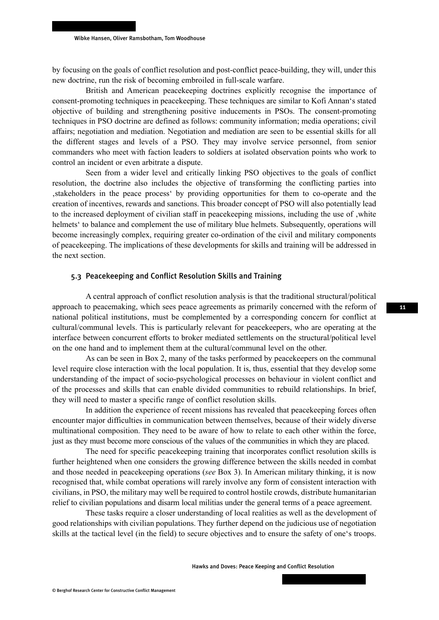by focusing on the goals of conflict resolution and post-conflict peace-building, they will, under this new doctrine, run the risk of becoming embroiled in full-scale warfare.

British and American peacekeeping doctrines explicitly recognise the importance of consent-promoting techniques in peacekeeping. These techniques are similar to Kofi Annan's stated objective of building and strengthening positive inducements in PSOs. The consent-promoting techniques in PSO doctrine are defined as follows: community information; media operations; civil affairs; negotiation and mediation. Negotiation and mediation are seen to be essential skills for all the different stages and levels of a PSO. They may involve service personnel, from senior commanders who meet with faction leaders to soldiers at isolated observation points who work to control an incident or even arbitrate a dispute.

Seen from a wider level and critically linking PSO objectives to the goals of conflict resolution, the doctrine also includes the objective of transforming the conflicting parties into stakeholders in the peace process by providing opportunities for them to co-operate and the creation of incentives, rewards and sanctions. This broader concept of PSO will also potentially lead to the increased deployment of civilian staff in peace keeping missions, including the use of , white helmets' to balance and complement the use of military blue helmets. Subsequently, operations will become increasingly complex, requiring greater co-ordination of the civil and military components of peacekeeping. The implications of these developments for skills and training will be addressed in the next section.

#### 5.3 Peacekeeping and Conflict Resolution Skills and Training

A central approach of conflict resolution analysis is that the traditional structural/political approach to peacemaking, which sees peace agreements as primarily concerned with the reform of national political institutions, must be complemented by a corresponding concern for conflict at cultural/communal levels. This is particularly relevant for peacekeepers, who are operating at the interface between concurrent efforts to broker mediated settlements on the structural/political level on the one hand and to implement them at the cultural/communal level on the other.

As can be seen in Box 2, many of the tasks performed by peacekeepers on the communal level require close interaction with the local population. It is, thus, essential that they develop some understanding of the impact of socio-psychological processes on behaviour in violent conflict and of the processes and skills that can enable divided communities to rebuild relationships. In brief, they will need to master a specific range of conflict resolution skills.

In addition the experience of recent missions has revealed that peacekeeping forces often encounter major difficulties in communication between themselves, because of their widely diverse multinational composition. They need to be aware of how to relate to each other within the force, just as they must become more conscious of the values of the communities in which they are placed.

The need for specific peacekeeping training that incorporates conflict resolution skills is further heightened when one considers the growing difference between the skills needed in combat and those needed in peacekeeping operations (*see* Box 3). In American military thinking, it is now recognised that, while combat operations will rarely involve any form of consistent interaction with civilians, in PSO, the military may well be required to control hostile crowds, distribute humanitarian relief to civilian populations and disarm local militias under the general terms of a peace agreement.

These tasks require a closer understanding of local realities as well as the development of good relationships with civilian populations. They further depend on the judicious use of negotiation skills at the tactical level (in the field) to secure objectives and to ensure the safety of one's troops.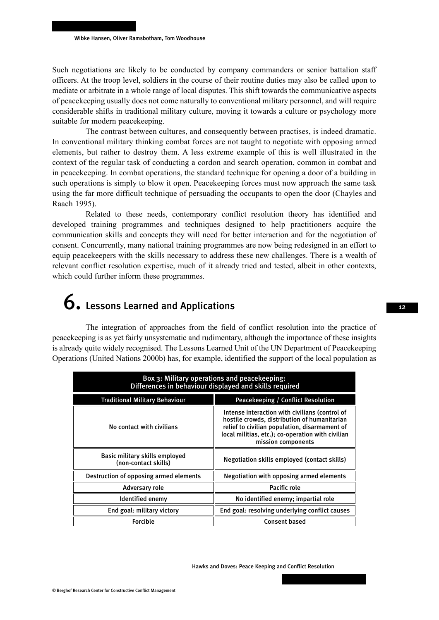Such negotiations are likely to be conducted by company commanders or senior battalion staff officers. At the troop level, soldiers in the course of their routine duties may also be called upon to mediate or arbitrate in a whole range of local disputes. This shift towards the communicative aspects of peacekeeping usually does not come naturally to conventional military personnel, and will require considerable shifts in traditional military culture, moving it towards a culture or psychology more suitable for modern peacekeeping.

The contrast between cultures, and consequently between practises, is indeed dramatic. In conventional military thinking combat forces are not taught to negotiate with opposing armed elements, but rather to destroy them. A less extreme example of this is well illustrated in the context of the regular task of conducting a cordon and search operation, common in combat and in peacekeeping. In combat operations, the standard technique for opening a door of a building in such operations is simply to blow it open. Peacekeeping forces must now approach the same task using the far more difficult technique of persuading the occupants to open the door (Chayles and Raach 1995).

Related to these needs, contemporary conflict resolution theory has identified and developed training programmes and techniques designed to help practitioners acquire the communication skills and concepts they will need for better interaction and for the negotiation of consent. Concurrently, many national training programmes are now being redesigned in an effort to equip peacekeepers with the skills necessary to address these new challenges. There is a wealth of relevant conflict resolution expertise, much of it already tried and tested, albeit in other contexts, which could further inform these programmes.

# 6. Lessons Learned and Applications

The integration of approaches from the field of conflict resolution into the practice of peacekeeping is as yet fairly unsystematic and rudimentary, although the importance of these insights is already quite widely recognised. The Lessons Learned Unit of the UN Department of Peacekeeping Operations (United Nations 2000b) has, for example, identified the support of the local population as

| Box 3: Military operations and peacekeeping:<br>Differences in behaviour displayed and skills required |                                                                                                                                                                                                                            |  |  |
|--------------------------------------------------------------------------------------------------------|----------------------------------------------------------------------------------------------------------------------------------------------------------------------------------------------------------------------------|--|--|
| <b>Traditional Military Behaviour</b>                                                                  | <b>Peacekeeping / Conflict Resolution</b>                                                                                                                                                                                  |  |  |
| No contact with civilians                                                                              | Intense interaction with civilians (control of<br>hostile crowds, distribution of humanitarian<br>relief to civilian population, disarmament of<br>local militias, etc.); co-operation with civilian<br>mission components |  |  |
| Basic military skills employed<br>(non-contact skills)                                                 | Negotiation skills employed (contact skills)                                                                                                                                                                               |  |  |
| Destruction of opposing armed elements                                                                 | Negotiation with opposing armed elements                                                                                                                                                                                   |  |  |
| Adversary role                                                                                         | Pacific role                                                                                                                                                                                                               |  |  |
| Identified enemy                                                                                       | No identified enemy; impartial role                                                                                                                                                                                        |  |  |
| End goal: military victory                                                                             | End goal: resolving underlying conflict causes                                                                                                                                                                             |  |  |
| <b>Forcible</b>                                                                                        | <b>Consent based</b>                                                                                                                                                                                                       |  |  |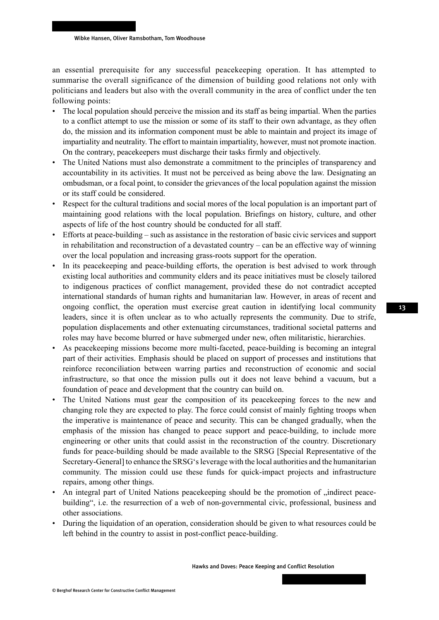an essential prerequisite for any successful peacekeeping operation. It has attempted to summarise the overall significance of the dimension of building good relations not only with politicians and leaders but also with the overall community in the area of conflict under the ten following points:

- The local population should perceive the mission and its staff as being impartial. When the parties to a conflict attempt to use the mission or some of its staff to their own advantage, as they often do, the mission and its information component must be able to maintain and project its image of impartiality and neutrality. The effort to maintain impartiality, however, must not promote inaction. On the contrary, peacekeepers must discharge their tasks firmly and objectively.
- The United Nations must also demonstrate a commitment to the principles of transparency and accountability in its activities. It must not be perceived as being above the law. Designating an ombudsman, or a focal point, to consider the grievances of the local population against the mission or its staff could be considered.
- Respect for the cultural traditions and social mores of the local population is an important part of maintaining good relations with the local population. Briefings on history, culture, and other aspects of life of the host country should be conducted for all staff.
- Efforts at peace-building such as assistance in the restoration of basic civic services and support in rehabilitation and reconstruction of a devastated country – can be an effective way of winning over the local population and increasing grass-roots support for the operation.
- In its peace keeping and peace-building efforts, the operation is best advised to work through existing local authorities and community elders and its peace initiatives must be closely tailored to indigenous practices of conflict management, provided these do not contradict accepted international standards of human rights and humanitarian law. However, in areas of recent and ongoing conflict, the operation must exercise great caution in identifying local community leaders, since it is often unclear as to who actually represents the community. Due to strife, population displacements and other extenuating circumstances, traditional societal patterns and roles may have become blurred or have submerged under new, often militaristic, hierarchies.
- As peacekeeping missions become more multi-faceted, peace-building is becoming an integral part of their activities. Emphasis should be placed on support of processes and institutions that reinforce reconciliation between warring parties and reconstruction of economic and social infrastructure, so that once the mission pulls out it does not leave behind a vacuum, but a foundation of peace and development that the country can build on.
- The United Nations must gear the composition of its peacekeeping forces to the new and changing role they are expected to play. The force could consist of mainly fighting troops when the imperative is maintenance of peace and security. This can be changed gradually, when the emphasis of the mission has changed to peace support and peace-building, to include more engineering or other units that could assist in the reconstruction of the country. Discretionary funds for peace-building should be made available to the SRSG [Special Representative of the Secretary-General] to enhance the SRSG's leverage with the local authorities and the humanitarian community. The mission could use these funds for quick-impact projects and infrastructure repairs, among other things.
- An integral part of United Nations peacekeeping should be the promotion of "indirect peacebuilding", i.e. the resurrection of a web of non-governmental civic, professional, business and other associations.
- During the liquidation of an operation, consideration should be given to what resources could be left behind in the country to assist in post-conflict peace-building.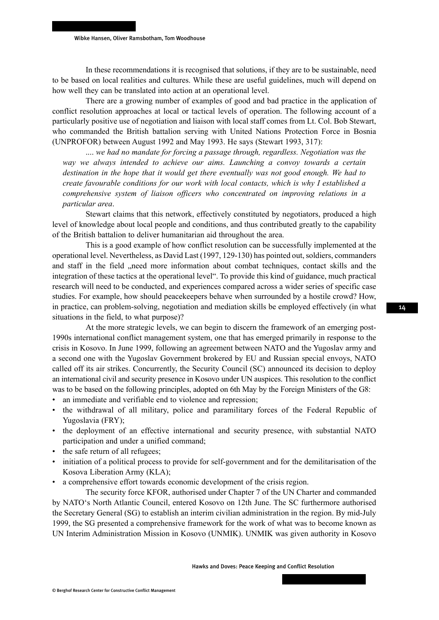In these recommendations it is recognised that solutions, if they are to be sustainable, need to be based on local realities and cultures. While these are useful guidelines, much will depend on how well they can be translated into action at an operational level.

There are a growing number of examples of good and bad practice in the application of conflict resolution approaches at local or tactical levels of operation. The following account of a particularly positive use of negotiation and liaison with local staff comes from Lt. Col. Bob Stewart, who commanded the British battalion serving with United Nations Protection Force in Bosnia (UNPROFOR) between August 1992 and May 1993. He says (Stewart 1993, 317):

.... *we had no mandate for forcing a passage through, regardless. Negotiation was the way we always intended to achieve our aims. Launching a convoy towards a certain destination in the hope that it would get there eventually was not good enough. We had to create favourable conditions for our work with local contacts, which is why I established a comprehensive system of liaison officers who concentrated on improving relations in a particular area*.

Stewart claims that this network, effectively constituted by negotiators, produced a high level of knowledge about local people and conditions, and thus contributed greatly to the capability of the British battalion to deliver humanitarian aid throughout the area.

This is a good example of how conflict resolution can be successfully implemented at the operational level. Nevertheless, as David Last (1997, 129-130) has pointed out, soldiers, commanders and staff in the field "need more information about combat techniques, contact skills and the integration of these tactics at the operational level". To provide this kind of guidance, much practical research will need to be conducted, and experiences compared across a wider series of specific case studies. For example, how should peacekeepers behave when surrounded by a hostile crowd? How, in practice, can problem-solving, negotiation and mediation skills be employed effectively (in what situations in the field, to what purpose)?

At the more strategic levels, we can begin to discern the framework of an emerging post-1990s international conflict management system, one that has emerged primarily in response to the crisis in Kosovo. In June 1999, following an agreement between NATO and the Yugoslav army and a second one with the Yugoslav Government brokered by EU and Russian special envoys, NATO called off its air strikes. Concurrently, the Security Council (SC) announced its decision to deploy an international civil and security presence in Kosovo under UN auspices. This resolution to the conflict was to be based on the following principles, adopted on 6th May by the Foreign Ministers of the G8:

- an immediate and verifiable end to violence and repression;
- the withdrawal of all military, police and paramilitary forces of the Federal Republic of Yugoslavia (FRY);
- the deployment of an effective international and security presence, with substantial NATO participation and under a unified command;
- the safe return of all refugees;
- initiation of a political process to provide for self-government and for the demilitarisation of the Kosova Liberation Army (KLA);
- a comprehensive effort towards economic development of the crisis region.

The security force KFOR, authorised under Chapter 7 of the UN Charter and commanded by NATO's North Atlantic Council, entered Kosovo on 12th June. The SC furthermore authorised the Secretary General (SG) to establish an interim civilian administration in the region. By mid-July 1999, the SG presented a comprehensive framework for the work of what was to become known as UN Interim Administration Mission in Kosovo (UNMIK). UNMIK was given authority in Kosovo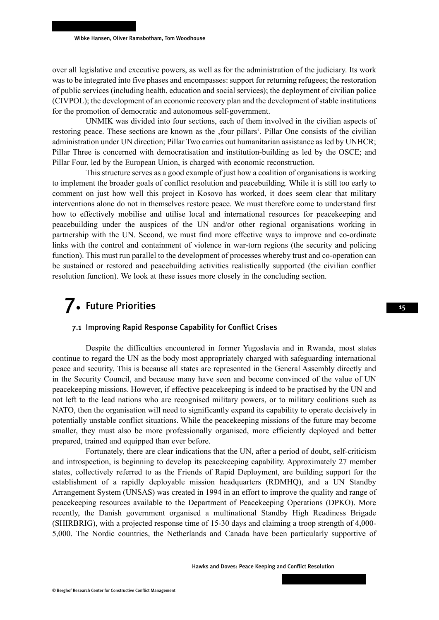over all legislative and executive powers, as well as for the administration of the judiciary. Its work was to be integrated into five phases and encompasses: support for returning refugees; the restoration of public services (including health, education and social services); the deployment of civilian police (CIVPOL); the development of an economic recovery plan and the development of stable institutions for the promotion of democratic and autonomous self-government.

UNMIK was divided into four sections, each of them involved in the civilian aspects of restoring peace. These sections are known as the 'four pillars'. Pillar One consists of the civilian administration under UN direction; Pillar Two carries out humanitarian assistance as led by UNHCR; Pillar Three is concerned with democratisation and institution-building as led by the OSCE; and Pillar Four, led by the European Union, is charged with economic reconstruction.

This structure serves as a good example of just how a coalition of organisations is working to implement the broader goals of conflict resolution and peacebuilding. While it is still too early to comment on just how well this project in Kosovo has worked, it does seem clear that military interventions alone do not in themselves restore peace. We must therefore come to understand first how to effectively mobilise and utilise local and international resources for peacekeeping and peacebuilding under the auspices of the UN and/or other regional organisations working in partnership with the UN. Second, we must find more effective ways to improve and co-ordinate links with the control and containment of violence in war-torn regions (the security and policing function). This must run parallel to the development of processes whereby trust and co-operation can be sustained or restored and peacebuilding activities realistically supported (the civilian conflict resolution function). We look at these issues more closely in the concluding section.

## 7. Future Priorities

#### 7.1 Improving Rapid Response Capability for Conflict Crises

Despite the difficulties encountered in former Yugoslavia and in Rwanda, most states continue to regard the UN as the body most appropriately charged with safeguarding international peace and security. This is because all states are represented in the General Assembly directly and in the Security Council, and because many have seen and become convinced of the value of UN peacekeeping missions. However, if effective peacekeeping is indeed to be practised by the UN and not left to the lead nations who are recognised military powers, or to military coalitions such as NATO, then the organisation will need to significantly expand its capability to operate decisively in potentially unstable conflict situations. While the peacekeeping missions of the future may become smaller, they must also be more professionally organised, more efficiently deployed and better prepared, trained and equipped than ever before.

Fortunately, there are clear indications that the UN, after a period of doubt, self-criticism and introspection, is beginning to develop its peacekeeping capability. Approximately 27 member states, collectively referred to as the Friends of Rapid Deployment, are building support for the establishment of a rapidly deployable mission headquarters (RDMHQ), and a UN Standby Arrangement System (UNSAS) was created in 1994 in an effort to improve the quality and range of peacekeeping resources available to the Department of Peacekeeping Operations (DPKO). More recently, the Danish government organised a multinational Standby High Readiness Brigade (SHIRBRIG), with a projected response time of 15-30 days and claiming a troop strength of 4,000- 5,000. The Nordic countries, the Netherlands and Canada have been particularly supportive of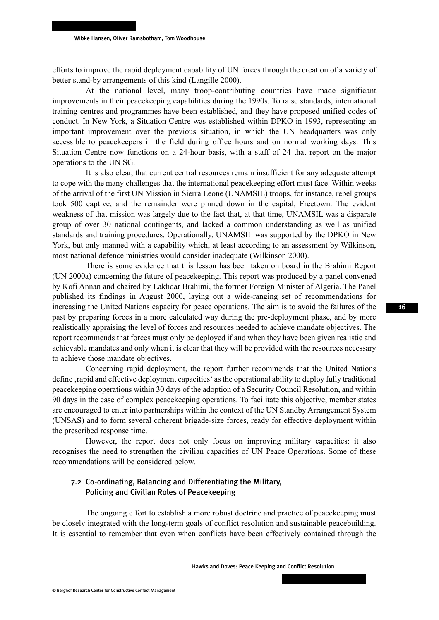efforts to improve the rapid deployment capability of UN forces through the creation of a variety of better stand-by arrangements of this kind (Langille 2000).

At the national level, many troop-contributing countries have made significant improvements in their peacekeeping capabilities during the 1990s. To raise standards, international training centres and programmes have been established, and they have proposed unified codes of conduct. In New York, a Situation Centre was established within DPKO in 1993, representing an important improvement over the previous situation, in which the UN headquarters was only accessible to peacekeepers in the field during office hours and on normal working days. This Situation Centre now functions on a 24-hour basis, with a staff of 24 that report on the major operations to the UN SG.

It is also clear, that current central resources remain insufficient for any adequate attempt to cope with the many challenges that the international peacekeeping effort must face. Within weeks of the arrival of the first UN Mission in Sierra Leone (UNAMSIL) troops, for instance, rebel groups took 500 captive, and the remainder were pinned down in the capital, Freetown. The evident weakness of that mission was largely due to the fact that, at that time, UNAMSIL was a disparate group of over 30 national contingents, and lacked a common understanding as well as unified standards and training procedures. Operationally, UNAMSIL was supported by the DPKO in New York, but only manned with a capability which, at least according to an assessment by Wilkinson, most national defence ministries would consider inadequate (Wilkinson 2000).

There is some evidence that this lesson has been taken on board in the Brahimi Report (UN 2000a) concerning the future of peacekeeping. This report was produced by a panel convened by Kofi Annan and chaired by Lakhdar Brahimi, the former Foreign Minister of Algeria. The Panel published its findings in August 2000, laying out a wide-ranging set of recommendations for increasing the United Nations capacity for peace operations. The aim is to avoid the failures of the past by preparing forces in a more calculated way during the pre-deployment phase, and by more realistically appraising the level of forces and resources needed to achieve mandate objectives. The report recommends that forces must only be deployed if and when they have been given realistic and achievable mandates and only when it is clear that they will be provided with the resources necessary to achieve those mandate objectives.

Concerning rapid deployment, the report further recommends that the United Nations define 'rapid and effective deployment capacities' as the operational ability to deploy fully traditional peacekeeping operations within 30 days of the adoption of a Security Council Resolution, and within 90 days in the case of complex peacekeeping operations. To facilitate this objective, member states are encouraged to enter into partnerships within the context of the UN Standby Arrangement System (UNSAS) and to form several coherent brigade-size forces, ready for effective deployment within the prescribed response time.

However, the report does not only focus on improving military capacities: it also recognises the need to strengthen the civilian capacities of UN Peace Operations. Some of these recommendations will be considered below.

#### 7.2 Co-ordinating, Balancing and Differentiating the Military, Policing and Civilian Roles of Peacekeeping

The ongoing effort to establish a more robust doctrine and practice of peacekeeping must be closely integrated with the long-term goals of conflict resolution and sustainable peacebuilding. It is essential to remember that even when conflicts have been effectively contained through the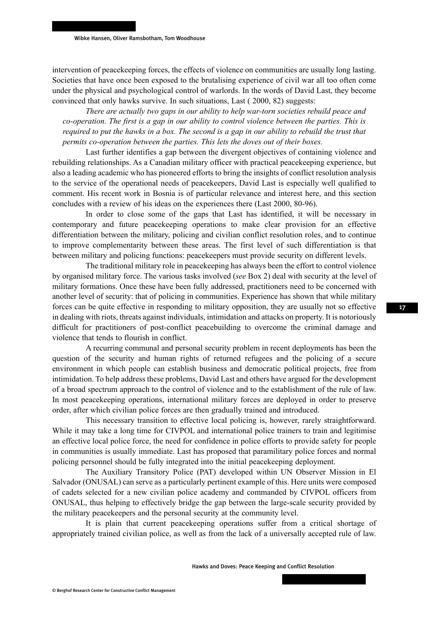intervention of peacekeeping forces, the effects of violence on communities are usually long lasting. Societies that have once been exposed to the brutalising experience of civil war all too often come under the physical and psychological control of warlords. In the words of David Last, they become convinced that only hawks survive. In such situations, Last ( 2000, 82) suggests:

*There are actually two gaps in our ability to help war-torn societies rebuild peace and co-operation. The first is a gap in our ability to control violence between the parties. This is required to put the hawks in a box. The second is a gap in our ability to rebuild the trust that permits co-operation between the parties. This lets the doves out of their boxes.* 

Last further identifies a gap between the divergent objectives of containing violence and rebuilding relationships. As a Canadian military officer with practical peacekeeping experience, but also a leading academic who has pioneered efforts to bring the insights of conflict resolution analysis to the service of the operational needs of peacekeepers, David Last is especially well qualified to comment. His recent work in Bosnia is of particular relevance and interest here, and this section concludes with a review of his ideas on the experiences there (Last 2000, 80-96).

In order to close some of the gaps that Last has identified, it will be necessary in contemporary and future peacekeeping operations to make clear provision for an effective differentiation between the military, policing and civilian conflict resolution roles, and to continue to improve complementarity between these areas. The first level of such differentiation is that between military and policing functions: peacekeepers must provide security on different levels.

The traditional military role in peacekeeping has always been the effort to control violence by organised military force. The various tasks involved (*see* Box 2) deal with security at the level of military formations. Once these have been fully addressed, practitioners need to be concerned with another level of security: that of policing in communities. Experience has shown that while military forces can be quite effective in responding to military opposition, they are usually not so effective in dealing with riots, threats against individuals, intimidation and attacks on property. It is notoriously difficult for practitioners of post-conflict peacebuilding to overcome the criminal damage and violence that tends to flourish in conflict.

A recurring communal and personal security problem in recent deployments has been the question of the security and human rights of returned refugees and the policing of a secure environment in which people can establish business and democratic political projects, free from intimidation. To help address these problems, David Last and others have argued for the development of a broad spectrum approach to the control of violence and to the establishment of the rule of law. In most peacekeeping operations, international military forces are deployed in order to preserve order, after which civilian police forces are then gradually trained and introduced.

This necessary transition to effective local policing is, however, rarely straightforward. While it may take a long time for CIVPOL and international police trainers to train and legitimise an effective local police force, the need for confidence in police efforts to provide safety for people in communities is usually immediate. Last has proposed that paramilitary police forces and normal policing personnel should be fully integrated into the initial peacekeeping deployment.

The Auxiliary Transitory Police (PAT) developed within UN Observer Mission in El Salvador (ONUSAL) can serve as a particularly pertinent example of this. Here units were composed of cadets selected for a new civilian police academy and commanded by CIVPOL officers from ONUSAL, thus helping to effectively bridge the gap between the large-scale security provided by the military peacekeepers and the personal security at the community level.

It is plain that current peacekeeping operations suffer from a critical shortage of appropriately trained civilian police, as well as from the lack of a universally accepted rule of law.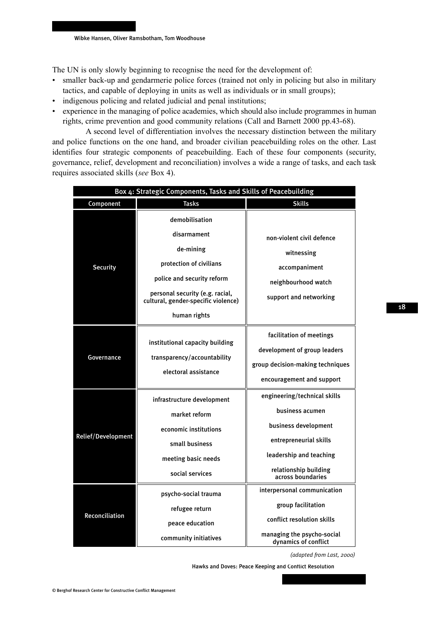The UN is only slowly beginning to recognise the need for the development of:

- smaller back-up and gendarmerie police forces (trained not only in policing but also in military tactics, and capable of deploying in units as well as individuals or in small groups);
- indigenous policing and related judicial and penal institutions;
- experience in the managing of police academies, which should also include programmes in human rights, crime prevention and good community relations (Call and Barnett 2000 pp.43-68).

A second level of differentiation involves the necessary distinction between the military and police functions on the one hand, and broader civilian peacebuilding roles on the other. Last identifies four strategic components of peacebuilding. Each of these four components (security, governance, relief, development and reconciliation) involves a wide a range of tasks, and each task requires associated skills (*see* Box 4).

| Box 4: Strategic Components, Tasks and Skills of Peacebuilding |                                                                        |                                                    |  |  |
|----------------------------------------------------------------|------------------------------------------------------------------------|----------------------------------------------------|--|--|
| Component                                                      | <b>Tasks</b>                                                           | <b>Skills</b>                                      |  |  |
| <b>Security</b>                                                | demobilisation                                                         |                                                    |  |  |
|                                                                | disarmament                                                            | non-violent civil defence                          |  |  |
|                                                                | de-mining                                                              | witnessing                                         |  |  |
|                                                                | protection of civilians                                                | accompaniment                                      |  |  |
|                                                                | police and security reform                                             | neighbourhood watch                                |  |  |
|                                                                | personal security (e.g. racial,<br>cultural, gender-specific violence) | support and networking                             |  |  |
|                                                                | human rights                                                           |                                                    |  |  |
| Governance                                                     | institutional capacity building<br>transparency/accountability         | facilitation of meetings                           |  |  |
|                                                                |                                                                        | development of group leaders                       |  |  |
|                                                                |                                                                        | group decision-making techniques                   |  |  |
|                                                                | electoral assistance                                                   | encouragement and support                          |  |  |
| Relief/Development                                             | infrastructure development                                             | engineering/technical skills                       |  |  |
|                                                                | market reform                                                          | business acumen                                    |  |  |
|                                                                | economic institutions                                                  | business development                               |  |  |
|                                                                | small business                                                         | entrepreneurial skills                             |  |  |
|                                                                | meeting basic needs                                                    | leadership and teaching                            |  |  |
|                                                                | social services                                                        | relationship building<br>across boundaries         |  |  |
| Reconciliation                                                 | psycho-social trauma                                                   | interpersonal communication                        |  |  |
|                                                                | refugee return                                                         | group facilitation                                 |  |  |
|                                                                | peace education                                                        | conflict resolution skills                         |  |  |
|                                                                | community initiatives                                                  | managing the psycho-social<br>dynamics of conflict |  |  |

*(adapted from Last, 2000)*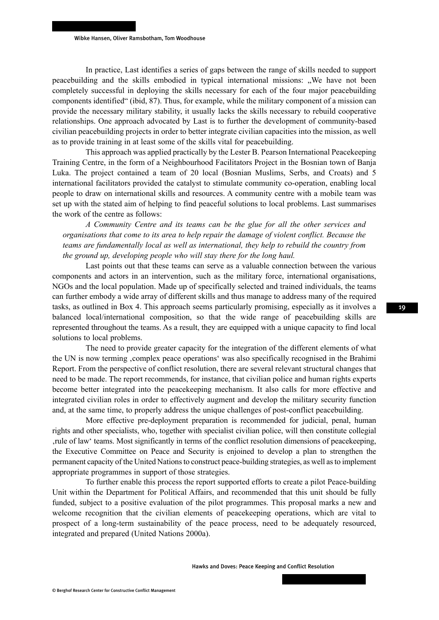In practice, Last identifies a series of gaps between the range of skills needed to support peacebuilding and the skills embodied in typical international missions: "We have not been completely successful in deploying the skills necessary for each of the four major peacebuilding components identified" (ibid, 87). Thus, for example, while the military component of a mission can provide the necessary military stability, it usually lacks the skills necessary to rebuild cooperative relationships. One approach advocated by Last is to further the development of community-based civilian peacebuilding projects in order to better integrate civilian capacities into the mission, as well as to provide training in at least some of the skills vital for peacebuilding.

This approach was applied practically by the Lester B. Pearson International Peacekeeping Training Centre, in the form of a Neighbourhood Facilitators Project in the Bosnian town of Banja Luka. The project contained a team of 20 local (Bosnian Muslims, Serbs, and Croats) and 5 international facilitators provided the catalyst to stimulate community co-operation, enabling local people to draw on international skills and resources. A community centre with a mobile team was set up with the stated aim of helping to find peaceful solutions to local problems. Last summarises the work of the centre as follows:

*A Community Centre and its teams can be the glue for all the other services and organisations that come to its area to help repair the damage of violent conflict. Because the teams are fundamentally local as well as international, they help to rebuild the country from the ground up, developing people who will stay there for the long haul.*

Last points out that these teams can serve as a valuable connection between the various components and actors in an intervention, such as the military force, international organisations, NGOs and the local population. Made up of specifically selected and trained individuals, the teams can further embody a wide array of different skills and thus manage to address many of the required tasks, as outlined in Box 4. This approach seems particularly promising, especially as it involves a balanced local/international composition, so that the wide range of peacebuilding skills are represented throughout the teams. As a result, they are equipped with a unique capacity to find local solutions to local problems.

The need to provide greater capacity for the integration of the different elements of what the UN is now terming , complex peace operations' was also specifically recognised in the Brahimi Report. From the perspective of conflict resolution, there are several relevant structural changes that need to be made. The report recommends, for instance, that civilian police and human rights experts become better integrated into the peacekeeping mechanism. It also calls for more effective and integrated civilian roles in order to effectively augment and develop the military security function and, at the same time, to properly address the unique challenges of post-conflict peacebuilding.

More effective pre-deployment preparation is recommended for judicial, penal, human rights and other specialists, who, together with specialist civilian police, will then constitute collegial , rule of law' teams. Most significantly in terms of the conflict resolution dimensions of peacekeeping, the Executive Committee on Peace and Security is enjoined to develop a plan to strengthen the permanent capacity of the United Nations to construct peace-building strategies, as well as to implement appropriate programmes in support of those strategies.

To further enable this process the report supported efforts to create a pilot Peace-building Unit within the Department for Political Affairs, and recommended that this unit should be fully funded, subject to a positive evaluation of the pilot programmes. This proposal marks a new and welcome recognition that the civilian elements of peacekeeping operations, which are vital to prospect of a long-term sustainability of the peace process, need to be adequately resourced, integrated and prepared (United Nations 2000a).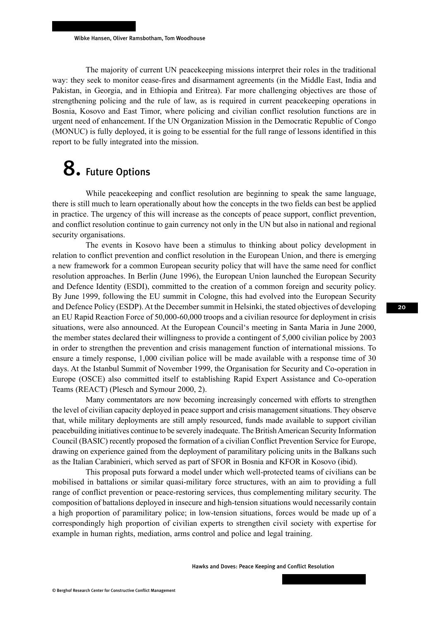The majority of current UN peacekeeping missions interpret their roles in the traditional way: they seek to monitor cease-fires and disarmament agreements (in the Middle East, India and Pakistan, in Georgia, and in Ethiopia and Eritrea). Far more challenging objectives are those of strengthening policing and the rule of law, as is required in current peacekeeping operations in Bosnia, Kosovo and East Timor, where policing and civilian conflict resolution functions are in urgent need of enhancement. If the UN Organization Mission in the Democratic Republic of Congo (MONUC) is fully deployed, it is going to be essential for the full range of lessons identified in this report to be fully integrated into the mission.

# 8. Future Options

While peacekeeping and conflict resolution are beginning to speak the same language, there is still much to learn operationally about how the concepts in the two fields can best be applied in practice. The urgency of this will increase as the concepts of peace support, conflict prevention, and conflict resolution continue to gain currency not only in the UN but also in national and regional security organisations.

The events in Kosovo have been a stimulus to thinking about policy development in relation to conflict prevention and conflict resolution in the European Union, and there is emerging a new framework for a common European security policy that will have the same need for conflict resolution approaches. In Berlin (June 1996), the European Union launched the European Security and Defence Identity (ESDI), committed to the creation of a common foreign and security policy. By June 1999, following the EU summit in Cologne, this had evolved into the European Security and Defence Policy (ESDP). At the December summit in Helsinki, the stated objectives of developing an EU Rapid Reaction Force of 50,000-60,000 troops and a civilian resource for deployment in crisis situations, were also announced. At the European Council's meeting in Santa Maria in June 2000, the member states declared their willingness to provide a contingent of 5,000 civilian police by 2003 in order to strengthen the prevention and crisis management function of international missions. To ensure a timely response, 1,000 civilian police will be made available with a response time of 30 days. At the Istanbul Summit of November 1999, the Organisation for Security and Co-operation in Europe (OSCE) also committed itself to establishing Rapid Expert Assistance and Co-operation Teams (REACT) (Plesch and Symour 2000, 2).

Many commentators are now becoming increasingly concerned with efforts to strengthen the level of civilian capacity deployed in peace support and crisis management situations. They observe that, while military deployments are still amply resourced, funds made available to support civilian peacebuilding initiatives continue to be severely inadequate. The British American Security Information Council (BASIC) recently proposed the formation of a civilian Conflict Prevention Service for Europe, drawing on experience gained from the deployment of paramilitary policing units in the Balkans such as the Italian Carabinieri, which served as part of SFOR in Bosnia and KFOR in Kosovo (ibid).

This proposal puts forward a model under which well-protected teams of civilians can be mobilised in battalions or similar quasi-military force structures, with an aim to providing a full range of conflict prevention or peace-restoring services, thus complementing military security. The composition of battalions deployed in insecure and high-tension situations would necessarily contain a high proportion of paramilitary police; in low-tension situations, forces would be made up of a correspondingly high proportion of civilian experts to strengthen civil society with expertise for example in human rights, mediation, arms control and police and legal training.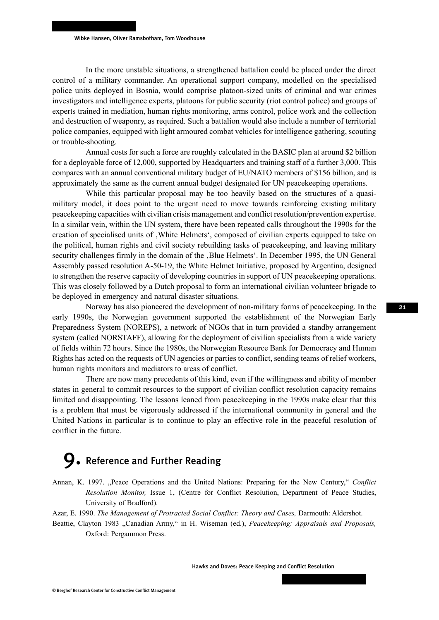In the more unstable situations, a strengthened battalion could be placed under the direct control of a military commander. An operational support company, modelled on the specialised police units deployed in Bosnia, would comprise platoon-sized units of criminal and war crimes investigators and intelligence experts, platoons for public security (riot control police) and groups of experts trained in mediation, human rights monitoring, arms control, police work and the collection and destruction of weaponry, as required. Such a battalion would also include a number of territorial police companies, equipped with light armoured combat vehicles for intelligence gathering, scouting or trouble-shooting.

Annual costs for such a force are roughly calculated in the BASIC plan at around \$2 billion for a deployable force of 12,000, supported by Headquarters and training staff of a further 3,000. This compares with an annual conventional military budget of EU/NATO members of \$156 billion, and is approximately the same as the current annual budget designated for UN peacekeeping operations.

While this particular proposal may be too heavily based on the structures of a quasimilitary model, it does point to the urgent need to move towards reinforcing existing military peacekeeping capacities with civilian crisis management and conflict resolution/prevention expertise. In a similar vein, within the UN system, there have been repeated calls throughout the 1990s for the creation of specialised units of 'White Helmets', composed of civilian experts equipped to take on the political, human rights and civil society rebuilding tasks of peacekeeping, and leaving military security challenges firmly in the domain of the 'Blue Helmets'. In December 1995, the UN General Assembly passed resolution A-50-19, the White Helmet Initiative, proposed by Argentina, designed to strengthen the reserve capacity of developing countries in support of UN peacekeeping operations. This was closely followed by a Dutch proposal to form an international civilian volunteer brigade to be deployed in emergency and natural disaster situations.

Norway has also pioneered the development of non-military forms of peacekeeping. In the early 1990s, the Norwegian government supported the establishment of the Norwegian Early Preparedness System (NOREPS), a network of NGOs that in turn provided a standby arrangement system (called NORSTAFF), allowing for the deployment of civilian specialists from a wide variety of fields within 72 hours. Since the 1980s, the Norwegian Resource Bank for Democracy and Human Rights has acted on the requests of UN agencies or parties to conflict, sending teams of relief workers, human rights monitors and mediators to areas of conflict.

There are now many precedents of this kind, even if the willingness and ability of member states in general to commit resources to the support of civilian conflict resolution capacity remains limited and disappointing. The lessons leaned from peacekeeping in the 1990s make clear that this is a problem that must be vigorously addressed if the international community in general and the United Nations in particular is to continue to play an effective role in the peaceful resolution of conflict in the future.

# 9. Reference and Further Reading

Annan, K. 1997. "Peace Operations and the United Nations: Preparing for the New Century," Conflict *Resolution Monitor,* Issue 1, (Centre for Conflict Resolution, Department of Peace Studies, University of Bradford).

Azar, E. 1990. *The Management of Protracted Social Conflict: Theory and Cases,* Darmouth: Aldershot.

Beattie, Clayton 1983 "Canadian Army," in H. Wiseman (ed.), *Peacekeeping: Appraisals and Proposals*, Oxford: Pergammon Press.